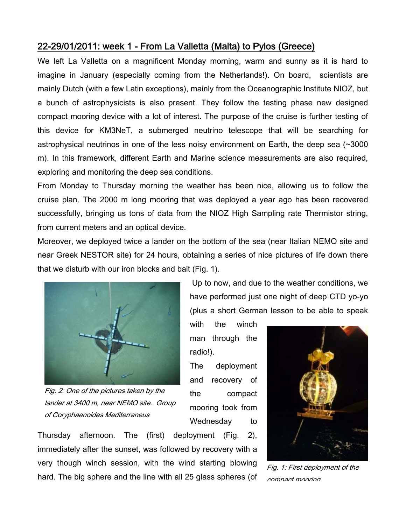## 22-29/01/2011: week 1 - From La Valletta (Malta) to Pylos (Greece)

We left La Valletta on a magnificent Monday morning, warm and sunny as it is hard to imagine in January (especially coming from the Netherlands!). On board, scientists are mainly Dutch (with a few Latin exceptions), mainly from the Oceanographic Institute NIOZ, but a bunch of astrophysicists is also present. They follow the testing phase new designed compact mooring device with a lot of interest. The purpose of the cruise is further testing of this device for KM3NeT, a submerged neutrino telescope that will be searching for astrophysical neutrinos in one of the less noisy environment on Earth, the deep sea (~3000 m). In this framework, different Earth and Marine science measurements are also required, exploring and monitoring the deep sea conditions.

From Monday to Thursday morning the weather has been nice, allowing us to follow the cruise plan. The 2000 m long mooring that was deployed a year ago has been recovered successfully, bringing us tons of data from the NIOZ High Sampling rate Thermistor string, from current meters and an optical device.

Moreover, we deployed twice a lander on the bottom of the sea (near Italian NEMO site and near Greek NESTOR site) for 24 hours, obtaining a series of nice pictures of life down there that we disturb with our iron blocks and bait (Fig. 1).



Fig. 2: One of the pictures taken by the lander at 3400 m, near NEMO site. Group of Coryphaenoides Mediterraneus

 Up to now, and due to the weather conditions, we have performed just one night of deep CTD yo-yo (plus a short German lesson to be able to speak

with the winch man through the radio!).

The deployment and recovery of the compact mooring took from Wednesday to

Thursday afternoon. The (first) deployment (Fig. 2), immediately after the sunset, was followed by recovery with a very though winch session, with the wind starting blowing hard. The big sphere and the line with all 25 glass spheres (of



Fig. 1: First deployment of the compact mooring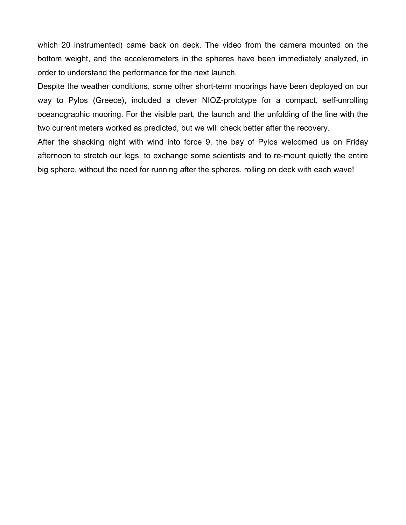which 20 instrumented) came back on deck. The video from the camera mounted on the bottom weight, and the accelerometers in the spheres have been immediately analyzed, in order to understand the performance for the next launch.

Despite the weather conditions, some other short-term moorings have been deployed on our way to Pylos (Greece), included a clever NIOZ-prototype for a compact, self-unrolling oceanographic mooring. For the visible part, the launch and the unfolding of the line with the two current meters worked as predicted, but we will check better after the recovery.

After the shacking night with wind into force 9, the bay of Pylos welcomed us on Friday afternoon to stretch our legs, to exchange some scientists and to re-mount quietly the entire big sphere, without the need for running after the spheres, rolling on deck with each wave!